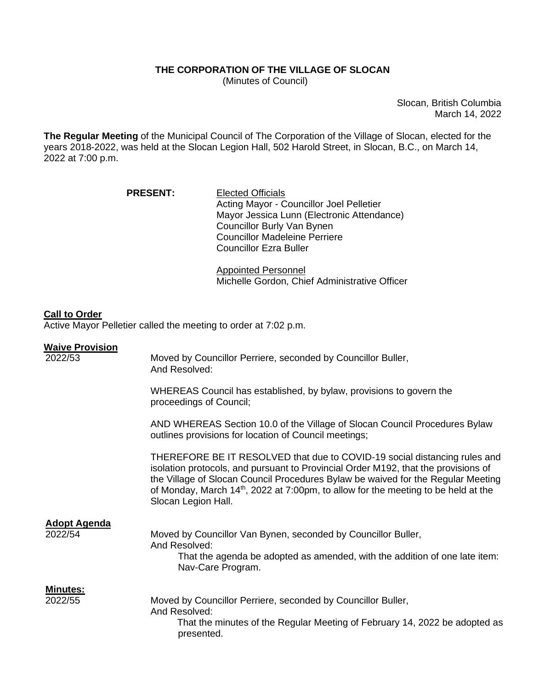## **THE CORPORATION OF THE VILLAGE OF SLOCAN**

(Minutes of Council)

Slocan, British Columbia March 14, 2022

**The Regular Meeting** of the Municipal Council of The Corporation of the Village of Slocan, elected for the years 2018-2022, was held at the Slocan Legion Hall, 502 Harold Street, in Slocan, B.C., on March 14, 2022 at 7:00 p.m.

| <b>PRESENT:</b> | <b>Elected Officials</b>                   |
|-----------------|--------------------------------------------|
|                 | Acting Mayor - Councillor Joel Pelletier   |
|                 | Mayor Jessica Lunn (Electronic Attendance) |
|                 | Councillor Burly Van Bynen                 |
|                 | <b>Councillor Madeleine Perriere</b>       |
|                 | <b>Councillor Ezra Buller</b>              |

Appointed Personnel Michelle Gordon, Chief Administrative Officer

## **Call to Order**

Active Mayor Pelletier called the meeting to order at 7:02 p.m.

## **Waive Provision**

| 2022/53             | Moved by Councillor Perriere, seconded by Councillor Buller,<br>And Resolved:                                                                                                                                                                                                                                                                                      |
|---------------------|--------------------------------------------------------------------------------------------------------------------------------------------------------------------------------------------------------------------------------------------------------------------------------------------------------------------------------------------------------------------|
|                     | WHEREAS Council has established, by bylaw, provisions to govern the<br>proceedings of Council;                                                                                                                                                                                                                                                                     |
|                     | AND WHEREAS Section 10.0 of the Village of Slocan Council Procedures Bylaw<br>outlines provisions for location of Council meetings;                                                                                                                                                                                                                                |
|                     | THEREFORE BE IT RESOLVED that due to COVID-19 social distancing rules and<br>isolation protocols, and pursuant to Provincial Order M192, that the provisions of<br>the Village of Slocan Council Procedures Bylaw be waived for the Regular Meeting<br>of Monday, March $14th$ , 2022 at 7:00pm, to allow for the meeting to be held at the<br>Slocan Legion Hall. |
| <b>Adopt Agenda</b> |                                                                                                                                                                                                                                                                                                                                                                    |
| 2022/54             | Moved by Councillor Van Bynen, seconded by Councillor Buller,<br>And Resolved:                                                                                                                                                                                                                                                                                     |
|                     | That the agenda be adopted as amended, with the addition of one late item:<br>Nav-Care Program.                                                                                                                                                                                                                                                                    |
| <u>Minutes:</u>     |                                                                                                                                                                                                                                                                                                                                                                    |
| 2022/55             | Moved by Councillor Perriere, seconded by Councillor Buller,<br>And Resolved:                                                                                                                                                                                                                                                                                      |
|                     | That the minutes of the Regular Meeting of February 14, 2022 be adopted as<br>presented.                                                                                                                                                                                                                                                                           |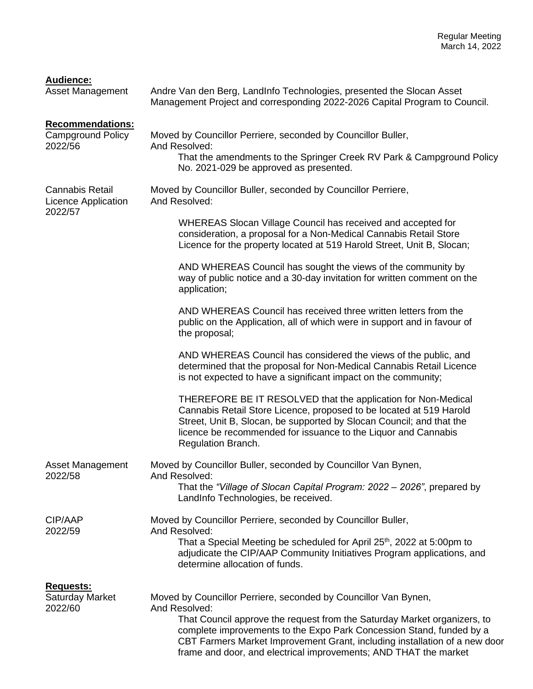| <b>Audience:</b> |  |
|------------------|--|
|                  |  |

| . .ww.v<br><b>Asset Management</b>                              | Andre Van den Berg, LandInfo Technologies, presented the Slocan Asset<br>Management Project and corresponding 2022-2026 Capital Program to Council.                                                                                                                                                                                                                                    |
|-----------------------------------------------------------------|----------------------------------------------------------------------------------------------------------------------------------------------------------------------------------------------------------------------------------------------------------------------------------------------------------------------------------------------------------------------------------------|
| <b>Recommendations:</b><br><b>Campground Policy</b><br>2022/56  | Moved by Councillor Perriere, seconded by Councillor Buller,<br>And Resolved:<br>That the amendments to the Springer Creek RV Park & Campground Policy<br>No. 2021-029 be approved as presented.                                                                                                                                                                                       |
| <b>Cannabis Retail</b><br><b>Licence Application</b><br>2022/57 | Moved by Councillor Buller, seconded by Councillor Perriere,<br>And Resolved:                                                                                                                                                                                                                                                                                                          |
|                                                                 | WHEREAS Slocan Village Council has received and accepted for<br>consideration, a proposal for a Non-Medical Cannabis Retail Store<br>Licence for the property located at 519 Harold Street, Unit B, Slocan;                                                                                                                                                                            |
|                                                                 | AND WHEREAS Council has sought the views of the community by<br>way of public notice and a 30-day invitation for written comment on the<br>application;                                                                                                                                                                                                                                |
|                                                                 | AND WHEREAS Council has received three written letters from the<br>public on the Application, all of which were in support and in favour of<br>the proposal;                                                                                                                                                                                                                           |
|                                                                 | AND WHEREAS Council has considered the views of the public, and<br>determined that the proposal for Non-Medical Cannabis Retail Licence<br>is not expected to have a significant impact on the community;                                                                                                                                                                              |
|                                                                 | THEREFORE BE IT RESOLVED that the application for Non-Medical<br>Cannabis Retail Store Licence, proposed to be located at 519 Harold<br>Street, Unit B, Slocan, be supported by Slocan Council; and that the<br>licence be recommended for issuance to the Liquor and Cannabis<br>Regulation Branch.                                                                                   |
| <b>Asset Management</b><br>2022/58                              | Moved by Councillor Buller, seconded by Councillor Van Bynen,<br>And Resolved:                                                                                                                                                                                                                                                                                                         |
|                                                                 | That the "Village of Slocan Capital Program: 2022 - 2026", prepared by<br>LandInfo Technologies, be received.                                                                                                                                                                                                                                                                          |
| CIP/AAP<br>2022/59                                              | Moved by Councillor Perriere, seconded by Councillor Buller,<br>And Resolved:                                                                                                                                                                                                                                                                                                          |
|                                                                 | That a Special Meeting be scheduled for April 25 <sup>th</sup> , 2022 at 5:00pm to<br>adjudicate the CIP/AAP Community Initiatives Program applications, and<br>determine allocation of funds.                                                                                                                                                                                         |
| <b>Requests:</b><br>Saturday Market<br>2022/60                  | Moved by Councillor Perriere, seconded by Councillor Van Bynen,<br>And Resolved:<br>That Council approve the request from the Saturday Market organizers, to<br>complete improvements to the Expo Park Concession Stand, funded by a<br>CBT Farmers Market Improvement Grant, including installation of a new door<br>frame and door, and electrical improvements; AND THAT the market |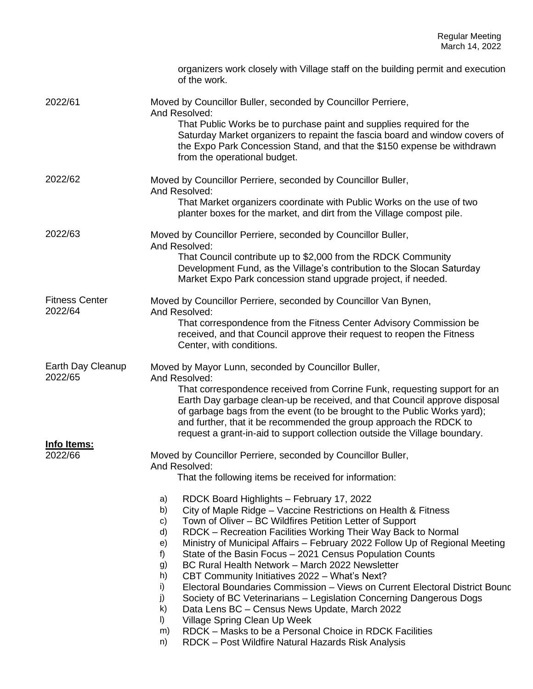|                                  | organizers work closely with Village staff on the building permit and execution<br>of the work.                                                                                                                                                                                                                                                                                                                                                                                                                                                                                                                                                                                                                                                                                                                                                                                                                                                                                                                                                                                    |
|----------------------------------|------------------------------------------------------------------------------------------------------------------------------------------------------------------------------------------------------------------------------------------------------------------------------------------------------------------------------------------------------------------------------------------------------------------------------------------------------------------------------------------------------------------------------------------------------------------------------------------------------------------------------------------------------------------------------------------------------------------------------------------------------------------------------------------------------------------------------------------------------------------------------------------------------------------------------------------------------------------------------------------------------------------------------------------------------------------------------------|
| 2022/61                          | Moved by Councillor Buller, seconded by Councillor Perriere,<br>And Resolved:<br>That Public Works be to purchase paint and supplies required for the<br>Saturday Market organizers to repaint the fascia board and window covers of<br>the Expo Park Concession Stand, and that the \$150 expense be withdrawn<br>from the operational budget.                                                                                                                                                                                                                                                                                                                                                                                                                                                                                                                                                                                                                                                                                                                                    |
| 2022/62                          | Moved by Councillor Perriere, seconded by Councillor Buller,<br>And Resolved:<br>That Market organizers coordinate with Public Works on the use of two<br>planter boxes for the market, and dirt from the Village compost pile.                                                                                                                                                                                                                                                                                                                                                                                                                                                                                                                                                                                                                                                                                                                                                                                                                                                    |
| 2022/63                          | Moved by Councillor Perriere, seconded by Councillor Buller,<br>And Resolved:<br>That Council contribute up to \$2,000 from the RDCK Community<br>Development Fund, as the Village's contribution to the Slocan Saturday<br>Market Expo Park concession stand upgrade project, if needed.                                                                                                                                                                                                                                                                                                                                                                                                                                                                                                                                                                                                                                                                                                                                                                                          |
| <b>Fitness Center</b><br>2022/64 | Moved by Councillor Perriere, seconded by Councillor Van Bynen,<br>And Resolved:<br>That correspondence from the Fitness Center Advisory Commission be<br>received, and that Council approve their request to reopen the Fitness<br>Center, with conditions.                                                                                                                                                                                                                                                                                                                                                                                                                                                                                                                                                                                                                                                                                                                                                                                                                       |
| Earth Day Cleanup<br>2022/65     | Moved by Mayor Lunn, seconded by Councillor Buller,<br>And Resolved:<br>That correspondence received from Corrine Funk, requesting support for an<br>Earth Day garbage clean-up be received, and that Council approve disposal<br>of garbage bags from the event (to be brought to the Public Works yard);<br>and further, that it be recommended the group approach the RDCK to<br>request a grant-in-aid to support collection outside the Village boundary.                                                                                                                                                                                                                                                                                                                                                                                                                                                                                                                                                                                                                     |
| Info Items:<br>2022/66           | Moved by Councillor Perriere, seconded by Councillor Buller,<br>And Resolved:<br>That the following items be received for information:<br>RDCK Board Highlights - February 17, 2022<br>a)<br>City of Maple Ridge - Vaccine Restrictions on Health & Fitness<br>b)<br>Town of Oliver - BC Wildfires Petition Letter of Support<br>c)<br>d)<br>RDCK – Recreation Facilities Working Their Way Back to Normal<br>Ministry of Municipal Affairs - February 2022 Follow Up of Regional Meeting<br>e)<br>State of the Basin Focus - 2021 Census Population Counts<br>f)<br>BC Rural Health Network - March 2022 Newsletter<br>g)<br>h)<br>CBT Community Initiatives 2022 - What's Next?<br>i)<br>Electoral Boundaries Commission – Views on Current Electoral District Bounc<br>j)<br>Society of BC Veterinarians – Legislation Concerning Dangerous Dogs<br>k)<br>Data Lens BC - Census News Update, March 2022<br>$\vert$<br>Village Spring Clean Up Week<br>RDCK - Masks to be a Personal Choice in RDCK Facilities<br>m)<br>RDCK - Post Wildfire Natural Hazards Risk Analysis<br>n) |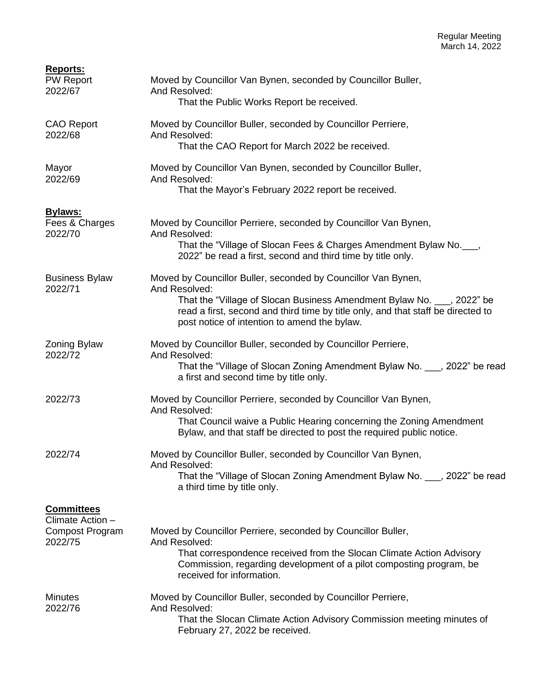| <b>Reports:</b><br><b>PW Report</b><br>2022/67                             | Moved by Councillor Van Bynen, seconded by Councillor Buller,<br>And Resolved:<br>That the Public Works Report be received.                                                                                                                                                                  |
|----------------------------------------------------------------------------|----------------------------------------------------------------------------------------------------------------------------------------------------------------------------------------------------------------------------------------------------------------------------------------------|
| <b>CAO Report</b><br>2022/68                                               | Moved by Councillor Buller, seconded by Councillor Perriere,<br>And Resolved:<br>That the CAO Report for March 2022 be received.                                                                                                                                                             |
| Mayor<br>2022/69                                                           | Moved by Councillor Van Bynen, seconded by Councillor Buller,<br>And Resolved:<br>That the Mayor's February 2022 report be received.                                                                                                                                                         |
| <b>Bylaws:</b><br>Fees & Charges<br>2022/70                                | Moved by Councillor Perriere, seconded by Councillor Van Bynen,<br>And Resolved:<br>That the "Village of Slocan Fees & Charges Amendment Bylaw No.__,<br>2022" be read a first, second and third time by title only.                                                                         |
| <b>Business Bylaw</b><br>2022/71                                           | Moved by Councillor Buller, seconded by Councillor Van Bynen,<br>And Resolved:<br>That the "Village of Slocan Business Amendment Bylaw No. ___, 2022" be<br>read a first, second and third time by title only, and that staff be directed to<br>post notice of intention to amend the bylaw. |
| <b>Zoning Bylaw</b><br>2022/72                                             | Moved by Councillor Buller, seconded by Councillor Perriere,<br>And Resolved:<br>That the "Village of Slocan Zoning Amendment Bylaw No. , 2022" be read<br>a first and second time by title only.                                                                                            |
| 2022/73                                                                    | Moved by Councillor Perriere, seconded by Councillor Van Bynen,<br>And Resolved:<br>That Council waive a Public Hearing concerning the Zoning Amendment<br>Bylaw, and that staff be directed to post the required public notice.                                                             |
| 2022/74                                                                    | Moved by Councillor Buller, seconded by Councillor Van Bynen,<br>And Resolved:<br>That the "Village of Slocan Zoning Amendment Bylaw No. , 2022" be read<br>a third time by title only.                                                                                                      |
| <b>Committees</b><br>Climate Action -<br><b>Compost Program</b><br>2022/75 | Moved by Councillor Perriere, seconded by Councillor Buller,<br>And Resolved:<br>That correspondence received from the Slocan Climate Action Advisory<br>Commission, regarding development of a pilot composting program, be<br>received for information.                                    |
| <b>Minutes</b><br>2022/76                                                  | Moved by Councillor Buller, seconded by Councillor Perriere,<br>And Resolved:<br>That the Slocan Climate Action Advisory Commission meeting minutes of<br>February 27, 2022 be received.                                                                                                     |